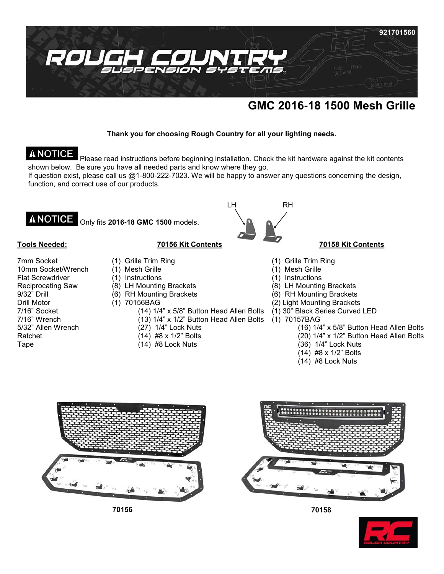

# **GMC 2016-18 1500 Mesh Grille**

## **Thank you for choosing Rough Country for all your lighting needs.**

# A NOTICE

Please read instructions before beginning installation. Check the kit hardware against the kit contents shown below. Be sure you have all needed parts and know where they go.

If question exist, please call us @1-800-222-7023. We will be happy to answer any questions concerning the design, function, and correct use of our products.

**A NOTICE** Only fits **2016-18 GMC 1500** models.

### **Tools Needed:**

7mm Socket 10mm Socket/Wrench Flat Screwdriver Reciprocating Saw 9/32" Drill Drill Motor 7/16" Socket 7/16" Wrench 5/32" Allen Wrench Ratchet Tape

# **70156 Kit Contents**

- (1) Grille Trim Ring
- (1) Mesh Grille
- (1) Instructions
- (8) LH Mounting Brackets
- (6) RH Mounting Brackets
- (1) 70156BAG
	- (14) 1/4" x 5/8" Button Head Allen Bolts
	- (13) 1/4" x 1/2" Button Head Allen Bolts
	- (27) 1/4" Lock Nuts
	- (14) #8 x 1/2" Bolts
	- (14) #8 Lock Nuts



### **70158 Kit Contents**

- (1) Grille Trim Ring
- (1) Mesh Grille
- (1) Instructions
- (8) LH Mounting Brackets
- (6) RH Mounting Brackets
- (2) Light Mounting Brackets
- (1) 30" Black Series Curved LED
- (1) 70157BAG
	- (16) 1/4" x 5/8" Button Head Allen Bolts
	- (20) 1/4" x 1/2" Button Head Allen Bolts
	- (36) 1/4" Lock Nuts
	- (14) #8 x 1/2" Bolts
	- (14) #8 Lock Nuts



**70156 70158**





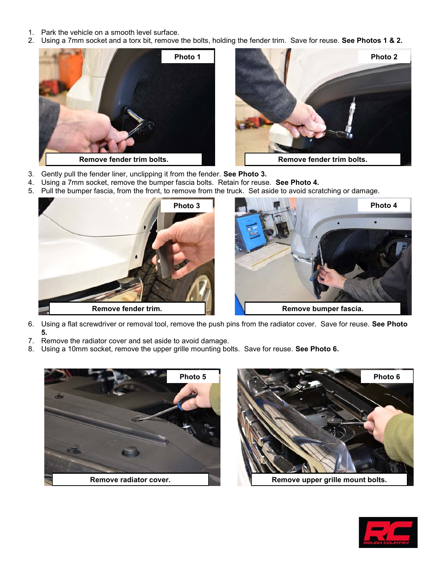- 1. Park the vehicle on a smooth level surface.
- 2. Using a 7mm socket and a torx bit, remove the bolts, holding the fender trim. Save for reuse. **See Photos 1 & 2.**





- 3. Gently pull the fender liner, unclipping it from the fender. **See Photo 3.**
- 4. Using a 7mm socket, remove the bumper fascia bolts. Retain for reuse. **See Photo 4.**
- 5. Pull the bumper fascia, from the front, to remove from the truck. Set aside to avoid scratching or damage.



- 6. Using a flat screwdriver or removal tool, remove the push pins from the radiator cover. Save for reuse. **See Photo 5.**
- 7. Remove the radiator cover and set aside to avoid damage.
- 8. Using a 10mm socket, remove the upper grille mounting bolts. Save for reuse. **See Photo 6.**





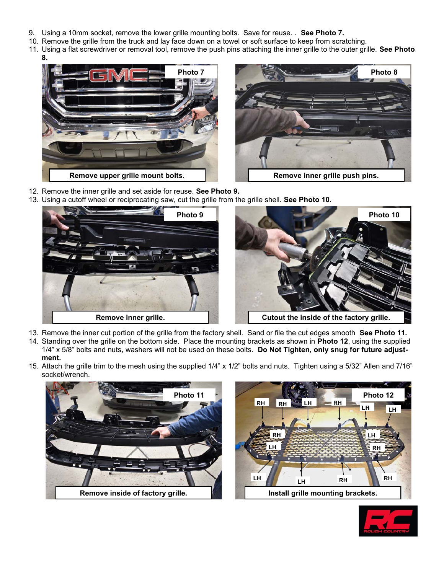- 9. Using a 10mm socket, remove the lower grille mounting bolts. Save for reuse. . **See Photo 7.**
- 10. Remove the grille from the truck and lay face down on a towel or soft surface to keep from scratching.
- 11. Using a flat screwdriver or removal tool, remove the push pins attaching the inner grille to the outer grille. **See Photo** 
	- **8.**





- 12. Remove the inner grille and set aside for reuse. **See Photo 9.**
- 13. Using a cutoff wheel or reciprocating saw, cut the grille from the grille shell. **See Photo 10.**





- 13. Remove the inner cut portion of the grille from the factory shell. Sand or file the cut edges smooth **See Photo 11.** 14. Standing over the grille on the bottom side. Place the mounting brackets as shown in **Photo 12**, using the supplied 1/4" x 5/8" bolts and nuts, washers will not be used on these bolts. **Do Not Tighten, only snug for future adjust-**
- **ment.** 15. Attach the grille trim to the mesh using the supplied 1/4" x 1/2" bolts and nuts. Tighten using a 5/32" Allen and 7/16" socket/wrench.





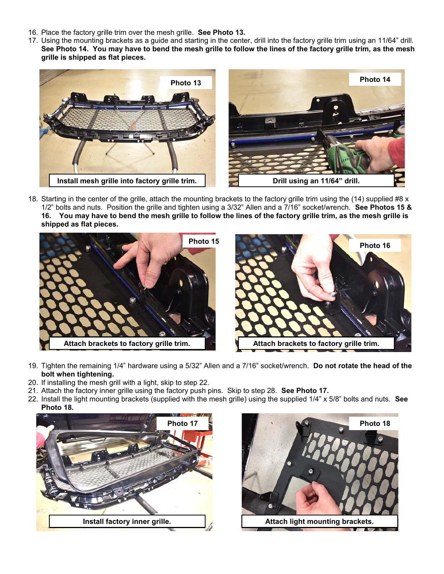- 16. Place the factory grille trim over the mesh grille. **See Photo 13.**
- 17. Using the mounting brackets as a guide and starting in the center, drill into the factory grille trim using an 11/64" drill. **See Photo 14. You may have to bend the mesh grille to follow the lines of the factory grille trim, as the mesh grille is shipped as flat pieces.**



18. Starting in the center of the grille, attach the mounting brackets to the factory grille trim using the (14) supplied #8 x 1/2" bolts and nuts. Position the grille and tighten using a 3/32" Allen and a 7/16" socket/wrench. **See Photos 15 & 16. You may have to bend the mesh grille to follow the lines of the factory grille trim, as the mesh grille is shipped as flat pieces.**



- 19. Tighten the remaining 1/4" hardware using a 5/32" Allen and a 7/16" socket/wrench. **Do not rotate the head of the bolt when tightening.**
- 20. If installing the mesh grill with a light, skip to step 22.
- 21. Attach the factory inner grille using the factory push pins. Skip to step 28. **See Photo 17.**
- 22. Install the light mounting brackets (supplied with the mesh grille) using the supplied 1/4" x 5/8" bolts and nuts. **See Photo 18.**



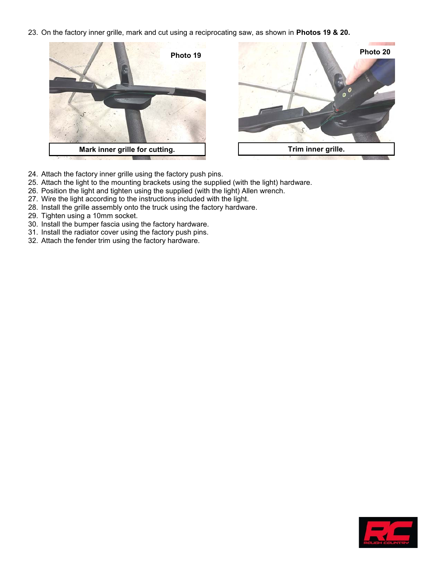23. On the factory inner grille, mark and cut using a reciprocating saw, as shown in **Photos 19 & 20.**





- 24. Attach the factory inner grille using the factory push pins.
- 25. Attach the light to the mounting brackets using the supplied (with the light) hardware.
- 26. Position the light and tighten using the supplied (with the light) Allen wrench.
- 27. Wire the light according to the instructions included with the light.
- 28. Install the grille assembly onto the truck using the factory hardware.
- 29. Tighten using a 10mm socket.
- 30. Install the bumper fascia using the factory hardware.
- 31. Install the radiator cover using the factory push pins.
- 32. Attach the fender trim using the factory hardware.